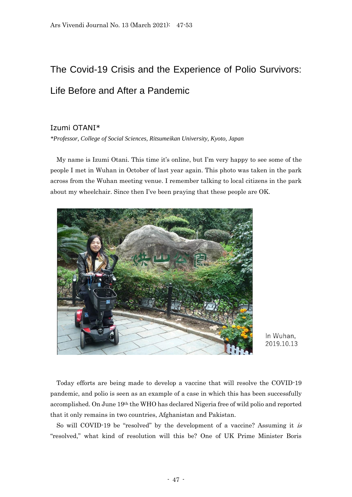## The Covid-19 Crisis and the Experience of Polio Survivors: Life Before and After a Pandemic

## Izumi OTANI\*

*\*Professor, College of Social Sciences, Ritsumeikan University, Kyoto, Japan*

My name is Izumi Otani. This time it's online, but I'm very happy to see some of the people I met in Wuhan in October of last year again. This photo was taken in the park across from the Wuhan meeting venue. I remember talking to local citizens in the park about my wheelchair. Since then I've been praying that these people are OK.



In Wuhan, 2019.10.13

Today efforts are being made to develop a vaccine that will resolve the COVID-19 pandemic, and polio is seen as an example of a case in which this has been successfully accomplished. On June 19th the WHO has declared Nigeria free of wild polio and reported that it only remains in two countries, Afghanistan and Pakistan.

So will COVID-19 be "resolved" by the development of a vaccine? Assuming it is "resolved," what kind of resolution will this be? One of UK Prime Minister Boris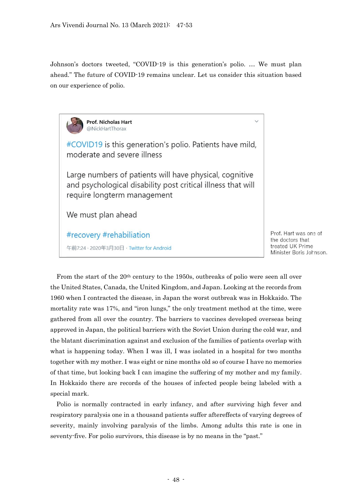Johnson's doctors tweeted, "COVID-19 is this generation's polio. … We must plan ahead." The future of COVID-19 remains unclear. Let us consider this situation based on our experience of polio.



Prof. Hart was one of the doctors that treated UK Prime Minister Boris Johnson.

From the start of the  $20<sup>th</sup>$  century to the 1950s, outbreaks of polio were seen all over the United States, Canada, the United Kingdom, and Japan. Looking at the records from 1960 when I contracted the disease, in Japan the worst outbreak was in Hokkaido. The mortality rate was 17%, and "iron lungs," the only treatment method at the time, were gathered from all over the country. The barriers to vaccines developed overseas being approved in Japan, the political barriers with the Soviet Union during the cold war, and the blatant discrimination against and exclusion of the families of patients overlap with what is happening today. When I was ill, I was isolated in a hospital for two months together with my mother. I was eight or nine months old so of course I have no memories of that time, but looking back I can imagine the suffering of my mother and my family. In Hokkaido there are records of the houses of infected people being labeled with a special mark.

Polio is normally contracted in early infancy, and after surviving high fever and respiratory paralysis one in a thousand patients suffer aftereffects of varying degrees of severity, mainly involving paralysis of the limbs. Among adults this rate is one in seventy-five. For polio survivors, this disease is by no means in the "past."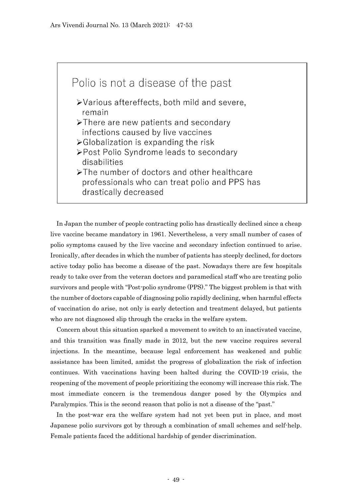

In Japan the number of people contracting polio has drastically declined since a cheap live vaccine became mandatory in 1961. Nevertheless, a very small number of cases of polio symptoms caused by the live vaccine and secondary infection continued to arise. Ironically, after decades in which the number of patients has steeply declined, for doctors active today polio has become a disease of the past. Nowadays there are few hospitals ready to take over from the veteran doctors and paramedical staff who are treating polio survivors and people with "Post-polio syndrome (PPS)." The biggest problem is that with the number of doctors capable of diagnosing polio rapidly declining, when harmful effects of vaccination do arise, not only is early detection and treatment delayed, but patients who are not diagnosed slip through the cracks in the welfare system.

Concern about this situation sparked a movement to switch to an inactivated vaccine, and this transition was finally made in 2012, but the new vaccine requires several injections. In the meantime, because legal enforcement has weakened and public assistance has been limited, amidst the progress of globalization the risk of infection continues. With vaccinations having been halted during the COVID-19 crisis, the reopening of the movement of people prioritizing the economy will increase this risk. The most immediate concern is the tremendous danger posed by the Olympics and Paralympics. This is the second reason that polio is not a disease of the "past."

In the post-war era the welfare system had not yet been put in place, and most Japanese polio survivors got by through a combination of small schemes and self-help. Female patients faced the additional hardship of gender discrimination.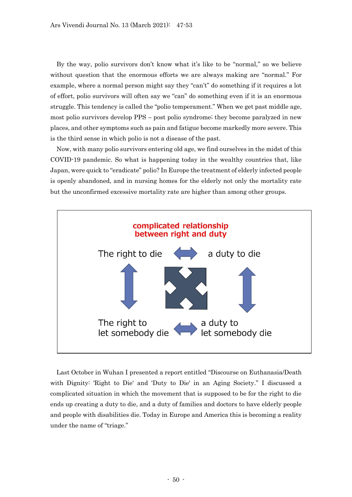By the way, polio survivors don't know what it's like to be "normal," so we believe without question that the enormous efforts we are always making are "normal." For example, where a normal person might say they "can't" do something if it requires a lot of effort, polio survivors will often say we "can" do something even if it is an enormous struggle. This tendency is called the "polio temperament." When we get past middle age, most polio survivors develop PPS – post polio syndrome; they become paralyzed in new places, and other symptoms such as pain and fatigue become markedly more severe. This is the third sense in which polio is not a disease of the past.

Now, with many polio survivors entering old age, we find ourselves in the midst of this COVID-19 pandemic. So what is happening today in the wealthy countries that, like Japan, were quick to "eradicate" polio? In Europe the treatment of elderly infected people is openly abandoned, and in nursing homes for the elderly not only the mortality rate but the unconfirmed excessive mortality rate are higher than among other groups.



Last October in Wuhan I presented a report entitled "Discourse on Euthanasia/Death with Dignity: 'Right to Die' and 'Duty to Die' in an Aging Society." I discussed a complicated situation in which the movement that is supposed to be for the right to die ends up creating a duty to die, and a duty of families and doctors to have elderly people and people with disabilities die. Today in Europe and America this is becoming a reality under the name of "triage."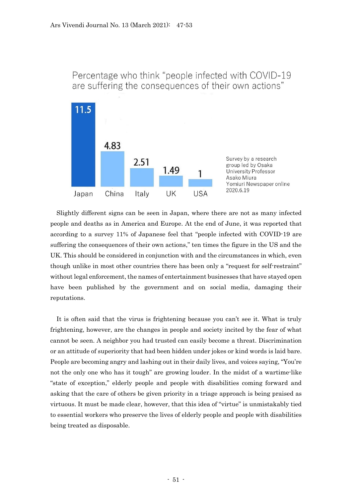

Percentage who think "people infected with COVID-19 are suffering the consequences of their own actions"

Slightly different signs can be seen in Japan, where there are not as many infected people and deaths as in America and Europe. At the end of June, it was reported that according to a survey 11% of Japanese feel that "people infected with COVID-19 are suffering the consequences of their own actions," ten times the figure in the US and the UK. This should be considered in conjunction with and the circumstances in which, even though unlike in most other countries there has been only a "request for self-restraint" without legal enforcement, the names of entertainment businesses that have stayed open have been published by the government and on social media, damaging their reputations.

It is often said that the virus is frightening because you can't see it. What is truly frightening, however, are the changes in people and society incited by the fear of what cannot be seen. A neighbor you had trusted can easily become a threat. Discrimination or an attitude of superiority that had been hidden under jokes or kind words is laid bare. People are becoming angry and lashing out in their daily lives, and voices saying, "You're not the only one who has it tough" are growing louder. In the midst of a wartime-like "state of exception," elderly people and people with disabilities coming forward and asking that the care of others be given priority in a triage approach is being praised as virtuous. It must be made clear, however, that this idea of "virtue" is unmistakably tied to essential workers who preserve the lives of elderly people and people with disabilities being treated as disposable.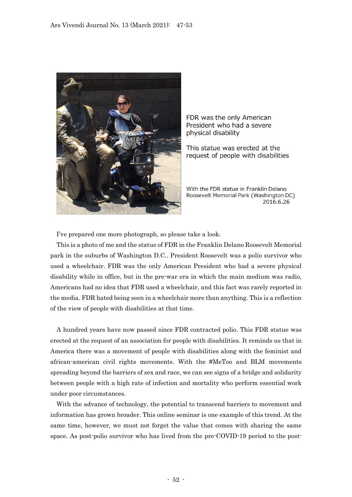

FDR was the only American President who had a severe physical disability

This statue was erected at the request of people with disabilities

With the FDR statue in Franklin Delano Roosevelt Memorial Park (Washington DC) 2016.6.26

I've prepared one more photograph, so please take a look.

This is a photo of me and the statue of FDR in the Franklin Delano Roosevelt Memorial park in the suburbs of Washington D.C.. President Roosevelt was a polio survivor who used a wheelchair. FDR was the only American President who had a severe physical disability while in office, but in the pre-war era in which the main medium was radio, Americans had no idea that FDR used a wheelchair, and this fact was rarely reported in the media. FDR hated being seen in a wheelchair more than anything. This is a reflection of the view of people with disabilities at that time.

A hundred years have now passed since FDR contracted polio. This FDR statue was erected at the request of an association for people with disabilities. It reminds us that in America there was a movement of people with disabilities along with the feminist and african-american civil rights movements. With the #MeToo and BLM movements spreading beyond the barriers of sex and race, we can see signs of a bridge and solidarity between people with a high rate of infection and mortality who perform essential work under poor circumstances.

With the advance of technology, the potential to transcend barriers to movement and information has grown broader. This online seminar is one example of this trend. At the same time, however, we must not forget the value that comes with sharing the same space. As post-polio survivor who has lived from the pre-COVID-19 period to the post